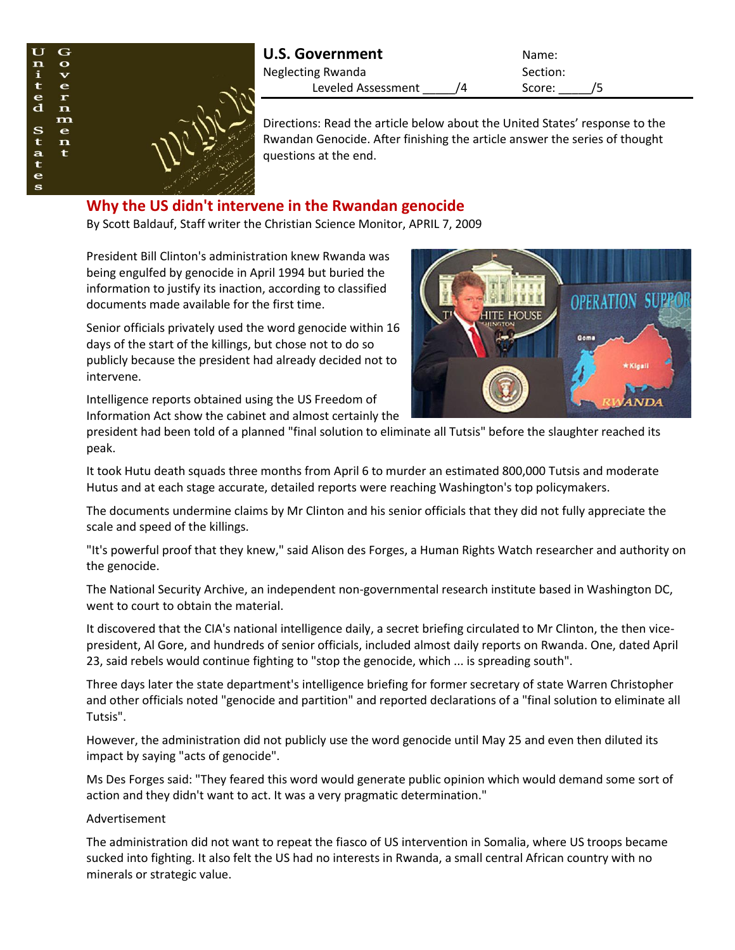

| <b>U.S. Government</b> | Name:    |
|------------------------|----------|
| Neglecting Rwanda      | Section: |
| Leveled Assessment     | Score:   |

Directions: Read the article below about the United States' response to the Rwandan Genocide. After finishing the article answer the series of thought questions at the end.

## **Why the US didn't intervene in the Rwandan genocide**

By Scott Baldauf, Staff writer the Christian Science Monitor, APRIL 7, 2009

President Bill Clinton's administration knew Rwanda was being engulfed by genocide in April 1994 but buried the information to justify its inaction, according to classified documents made available for the first time.

Senior officials privately used the word genocide within 16 days of the start of the killings, but chose not to do so publicly because the president had already decided not to intervene.

Intelligence reports obtained using the US Freedom of Information Act show the cabinet and almost certainly the



president had been told of a planned "final solution to eliminate all Tutsis" before the slaughter reached its peak.

It took Hutu death squads three months from April 6 to murder an estimated 800,000 Tutsis and moderate Hutus and at each stage accurate, detailed reports were reaching Washington's top policymakers.

The documents undermine claims by Mr Clinton and his senior officials that they did not fully appreciate the scale and speed of the killings.

"It's powerful proof that they knew," said Alison des Forges, a Human Rights Watch researcher and authority on the genocide.

The National Security Archive, an independent non-governmental research institute based in Washington DC, went to court to obtain the material.

It discovered that the CIA's national intelligence daily, a secret briefing circulated to Mr Clinton, the then vicepresident, Al Gore, and hundreds of senior officials, included almost daily reports on Rwanda. One, dated April 23, said rebels would continue fighting to "stop the genocide, which ... is spreading south".

Three days later the state department's intelligence briefing for former secretary of state Warren Christopher and other officials noted "genocide and partition" and reported declarations of a "final solution to eliminate all Tutsis".

However, the administration did not publicly use the word genocide until May 25 and even then diluted its impact by saying "acts of genocide".

Ms Des Forges said: "They feared this word would generate public opinion which would demand some sort of action and they didn't want to act. It was a very pragmatic determination."

## Advertisement

The administration did not want to repeat the fiasco of US intervention in Somalia, where US troops became sucked into fighting. It also felt the US had no interests in Rwanda, a small central African country with no minerals or strategic value.